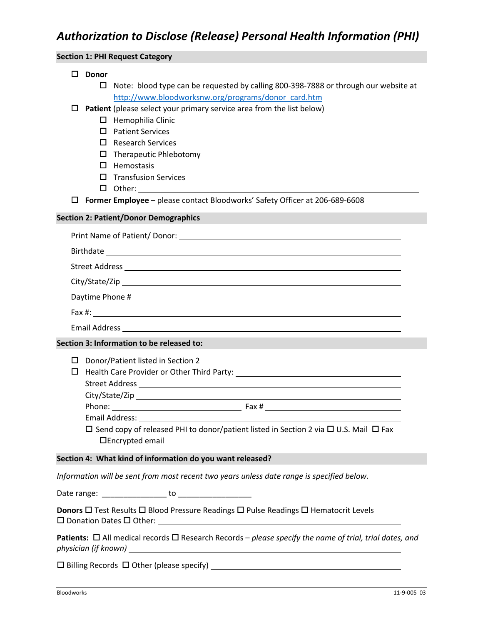| <b>Section 1: PHI Request Category</b>                                                                            |                                                                                  |                                                                                                                                            |  |
|-------------------------------------------------------------------------------------------------------------------|----------------------------------------------------------------------------------|--------------------------------------------------------------------------------------------------------------------------------------------|--|
| □                                                                                                                 | <b>Donor</b>                                                                     |                                                                                                                                            |  |
|                                                                                                                   | 0                                                                                | Note: blood type can be requested by calling 800-398-7888 or through our website at<br>http://www.bloodworksnw.org/programs/donor_card.htm |  |
| □                                                                                                                 |                                                                                  | Patient (please select your primary service area from the list below)                                                                      |  |
|                                                                                                                   |                                                                                  | $\Box$ Hemophilia Clinic                                                                                                                   |  |
|                                                                                                                   | П                                                                                | <b>Patient Services</b>                                                                                                                    |  |
|                                                                                                                   |                                                                                  | $\Box$ Research Services                                                                                                                   |  |
|                                                                                                                   |                                                                                  | $\Box$ Therapeutic Phlebotomy                                                                                                              |  |
|                                                                                                                   |                                                                                  | $\Box$ Hemostasis                                                                                                                          |  |
|                                                                                                                   |                                                                                  | $\Box$ Transfusion Services                                                                                                                |  |
|                                                                                                                   |                                                                                  |                                                                                                                                            |  |
| □                                                                                                                 |                                                                                  | Former Employee - please contact Bloodworks' Safety Officer at 206-689-6608                                                                |  |
| <b>Section 2: Patient/Donor Demographics</b>                                                                      |                                                                                  |                                                                                                                                            |  |
|                                                                                                                   |                                                                                  |                                                                                                                                            |  |
|                                                                                                                   |                                                                                  |                                                                                                                                            |  |
|                                                                                                                   |                                                                                  |                                                                                                                                            |  |
|                                                                                                                   |                                                                                  |                                                                                                                                            |  |
|                                                                                                                   |                                                                                  |                                                                                                                                            |  |
|                                                                                                                   |                                                                                  |                                                                                                                                            |  |
|                                                                                                                   |                                                                                  |                                                                                                                                            |  |
| Section 3: Information to be released to:                                                                         |                                                                                  |                                                                                                                                            |  |
|                                                                                                                   |                                                                                  | $\square$ Donor/Patient listed in Section 2                                                                                                |  |
|                                                                                                                   | □ Health Care Provider or Other Third Party: ___________________________________ |                                                                                                                                            |  |
|                                                                                                                   |                                                                                  |                                                                                                                                            |  |
|                                                                                                                   |                                                                                  |                                                                                                                                            |  |
|                                                                                                                   | Phone:                                                                           |                                                                                                                                            |  |
|                                                                                                                   |                                                                                  | Email Address:                                                                                                                             |  |
|                                                                                                                   |                                                                                  | $\Box$ Send copy of released PHI to donor/patient listed in Section 2 via $\Box$ U.S. Mail $\Box$ Fax<br>$\Box$ Encrypted email            |  |
| Section 4: What kind of information do you want released?                                                         |                                                                                  |                                                                                                                                            |  |
| Information will be sent from most recent two years unless date range is specified below.                         |                                                                                  |                                                                                                                                            |  |
|                                                                                                                   |                                                                                  |                                                                                                                                            |  |
| Donors □ Test Results □ Blood Pressure Readings □ Pulse Readings □ Hematocrit Levels                              |                                                                                  |                                                                                                                                            |  |
| Patients: $\Box$ All medical records $\Box$ Research Records – please specify the name of trial, trial dates, and |                                                                                  |                                                                                                                                            |  |
|                                                                                                                   |                                                                                  |                                                                                                                                            |  |
|                                                                                                                   |                                                                                  |                                                                                                                                            |  |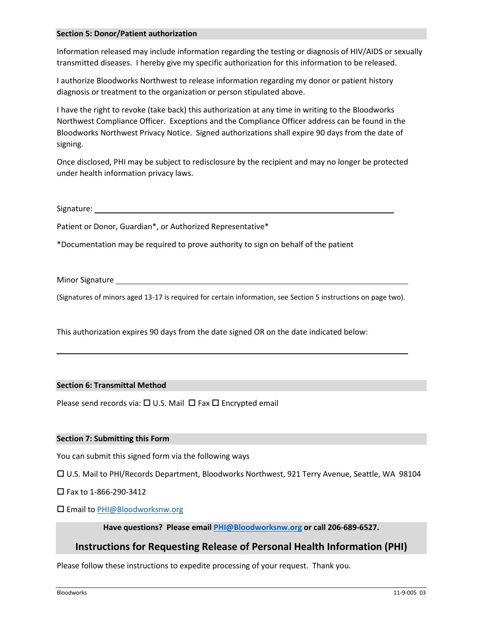#### **Section 5: Donor/Patient authorization**

Information released may include information regarding the testing or diagnosis of HIV/AIDS or sexually transmitted diseases. I hereby give my specific authorization for this information to be released.

I authorize Bloodworks Northwest to release information regarding my donor or patient history diagnosis or treatment to the organization or person stipulated above.

I have the right to revoke (take back) this authorization at any time in writing to the Bloodworks Northwest Compliance Officer. Exceptions and the Compliance Officer address can be found in the Bloodworks Northwest Privacy Notice. Signed authorizations shall expire 90 days from the date of signing.

Once disclosed, PHI may be subject to redisclosure by the recipient and may no longer be protected under health information privacy laws.

Signature:

Patient or Donor, Guardian\*, or Authorized Representative\*

\*Documentation may be required to prove authority to sign on behalf of the patient

Minor Signature \_\_\_\_

(Signatures of minors aged 13-17 is required for certain information, see Section 5 instructions on page two).

This authorization expires 90 days from the date signed OR on the date indicated below:

#### **Section 6: Transmittal Method**

Please send records via:  $\Box$  U.S. Mail  $\Box$  Fax  $\Box$  Encrypted email

#### **Section 7: Submitting this Form**

You can submit this signed form via the following ways

U.S. Mail to PHI/Records Department, Bloodworks Northwest, 921 Terry Avenue, Seattle, WA 98104

 $\Box$  Fax to 1-866-290-3412

□ Email to [PHI@Bloodworksnw.org](mailto:PHI@Bloodworksnw.org)

**Have questions? Please email [PHI@Bloodworksnw.org](mailto:PHI@Bloodworksnw.org) or call 206-689-6527.**

# **Instructions for Requesting Release of Personal Health Information (PHI)**

Please follow these instructions to expedite processing of your request. Thank you.